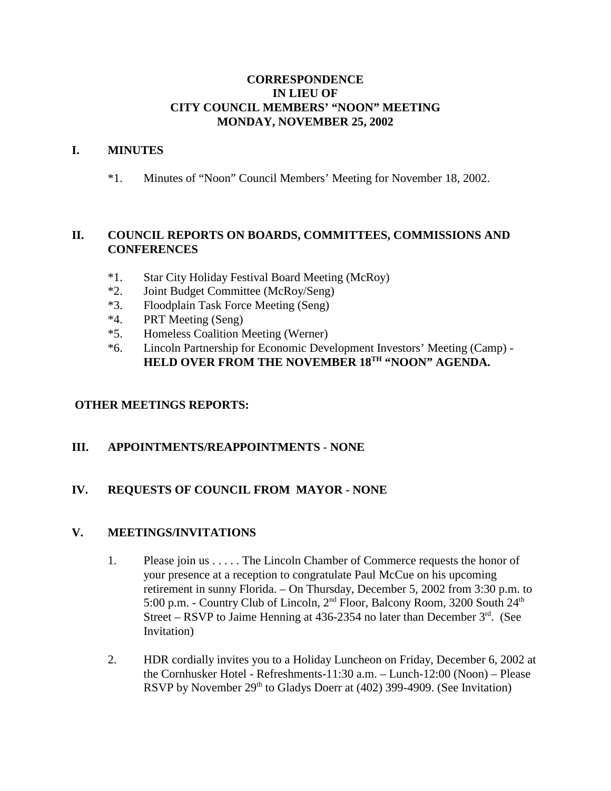### **CORRESPONDENCE IN LIEU OF CITY COUNCIL MEMBERS' "NOON" MEETING MONDAY, NOVEMBER 25, 2002**

### **I. MINUTES**

\*1. Minutes of "Noon" Council Members' Meeting for November 18, 2002.

# **II. COUNCIL REPORTS ON BOARDS, COMMITTEES, COMMISSIONS AND CONFERENCES**

- \*1. Star City Holiday Festival Board Meeting (McRoy)
- \*2. Joint Budget Committee (McRoy/Seng)
- \*3. Floodplain Task Force Meeting (Seng)
- \*4. PRT Meeting (Seng)
- \*5. Homeless Coalition Meeting (Werner)
- \*6. Lincoln Partnership for Economic Development Investors' Meeting (Camp) HELD OVER FROM THE NOVEMBER 18<sup>TH</sup> "NOON" AGENDA.

# **OTHER MEETINGS REPORTS:**

# **III. APPOINTMENTS/REAPPOINTMENTS** - **NONE**

# **IV. REQUESTS OF COUNCIL FROM MAYOR - NONE**

#### **V. MEETINGS/INVITATIONS**

- 1. Please join us . . . . . The Lincoln Chamber of Commerce requests the honor of your presence at a reception to congratulate Paul McCue on his upcoming retirement in sunny Florida. – On Thursday, December 5, 2002 from 3:30 p.m. to 5:00 p.m. - Country Club of Lincoln, 2<sup>nd</sup> Floor, Balcony Room, 3200 South 24<sup>th</sup> Street – RSVP to Jaime Henning at 436-2354 no later than December  $3<sup>rd</sup>$ . (See Invitation)
- 2. HDR cordially invites you to a Holiday Luncheon on Friday, December 6, 2002 at the Cornhusker Hotel - Refreshments-11:30 a.m. – Lunch-12:00 (Noon) – Please RSVP by November  $29<sup>th</sup>$  to Gladys Doerr at (402) 399-4909. (See Invitation)